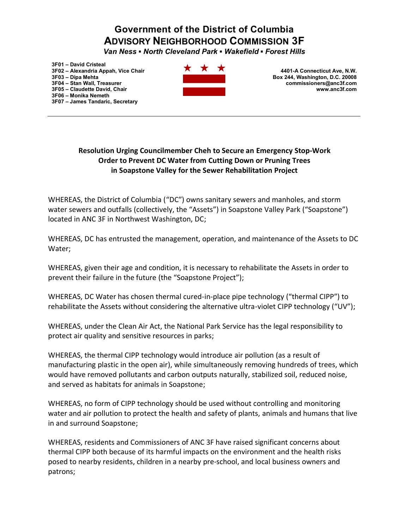## **Government of the District of Columbia ADVISORY NEIGHBORHOOD COMMISSION 3F**

*Van Ness* • North Cleveland Park • Wakefield • Forest Hills

**3F01 ± David Cristeal 3F02 ± Alexandria Appah, Vice Chair 3F03 ± Dipa Mehta 3F04 ± Stan Wall, Treasurer 3F05 ± Claudette David, Chair 3F06 ± Monika Nemeth 3F07 ± James Tandaric, Secretary**



**4401-A Connecticut Ave, N.W. Box 244, Washington, D.C. 20008 commissioners@anc3f.com www.anc3f.com**

## **Resolution Urging Councilmember Cheh to Secure an Emergency Stop-Work Order to Prevent DC Water from Cutting Down or Pruning Trees in Soapstone Valley for the Sewer Rehabilitation Project**

WHEREAS, the District of Columbia ("DC") owns sanitary sewers and manholes, and storm water sewers and outfalls (collectively, the "Assets") in Soapstone Valley Park ("Soapstone") located in ANC 3F in Northwest Washington, DC;

WHEREAS, DC has entrusted the management, operation, and maintenance of the Assets to DC Water;

WHEREAS, given their age and condition, it is necessary to rehabilitate the Assets in order to prevent their failure in the future (the "Soapstone Project");

WHEREAS, DC Water has chosen thermal cured-in-place pipe technology ("thermal CIPP") to rehabilitate the Assets without considering the alternative ultra-violet CIPP technology ("UV");

WHEREAS, under the Clean Air Act, the National Park Service has the legal responsibility to protect air quality and sensitive resources in parks;

WHEREAS, the thermal CIPP technology would introduce air pollution (as a result of manufacturing plastic in the open air), while simultaneously removing hundreds of trees, which would have removed pollutants and carbon outputs naturally, stabilized soil, reduced noise, and served as habitats for animals in Soapstone;

WHEREAS, no form of CIPP technology should be used without controlling and monitoring water and air pollution to protect the health and safety of plants, animals and humans that live in and surround Soapstone;

WHEREAS, residents and Commissioners of ANC 3F have raised significant concerns about thermal CIPP both because of its harmful impacts on the environment and the health risks posed to nearby residents, children in a nearby pre-school, and local business owners and patrons;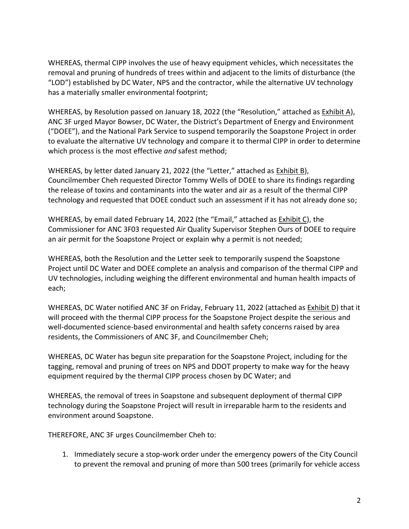WHEREAS, thermal CIPP involves the use of heavy equipment vehicles, which necessitates the removal and pruning of hundreds of trees within and adjacent to the limits of disturbance (the ͞LOD͟) established by DC Water, NPS and the contractor, while the alternative UV technology has a materially smaller environmental footprint;

WHEREAS, by Resolution passed on January 18, 2022 (the "Resolution," attached as Exhibit A), ANC 3F urged Mayor Bowser, DC Water, the District's Department of Energy and Environment ("DOEE"), and the National Park Service to suspend temporarily the Soapstone Project in order to evaluate the alternative UV technology and compare it to thermal CIPP in order to determine which process is the most effective *and* safest method;

WHEREAS, by letter dated January 21, 2022 (the "Letter," attached as Exhibit B), Councilmember Cheh requested Director Tommy Wells of DOEE to share its findings regarding the release of toxins and contaminants into the water and air as a result of the thermal CIPP technology and requested that DOEE conduct such an assessment if it has not already done so;

WHEREAS, by email dated February 14, 2022 (the "Email," attached as Exhibit C), the Commissioner for ANC 3F03 requested Air Quality Supervisor Stephen Ours of DOEE to require an air permit for the Soapstone Project or explain why a permit is not needed;

WHEREAS, both the Resolution and the Letter seek to temporarily suspend the Soapstone Project until DC Water and DOEE complete an analysis and comparison of the thermal CIPP and UV technologies, including weighing the different environmental and human health impacts of each;

WHEREAS, DC Water notified ANC 3F on Friday, February 11, 2022 (attached as Exhibit D) that it will proceed with the thermal CIPP process for the Soapstone Project despite the serious and well-documented science-based environmental and health safety concerns raised by area residents, the Commissioners of ANC 3F, and Councilmember Cheh;

WHEREAS, DC Water has begun site preparation for the Soapstone Project, including for the tagging, removal and pruning of trees on NPS and DDOT property to make way for the heavy equipment required by the thermal CIPP process chosen by DC Water; and

WHEREAS, the removal of trees in Soapstone and subsequent deployment of thermal CIPP technology during the Soapstone Project will result in irreparable harm to the residents and environment around Soapstone.

THEREFORE, ANC 3F urges Councilmember Cheh to:

1. Immediately secure a stop-work order under the emergency powers of the City Council to prevent the removal and pruning of more than 500 trees (primarily for vehicle access